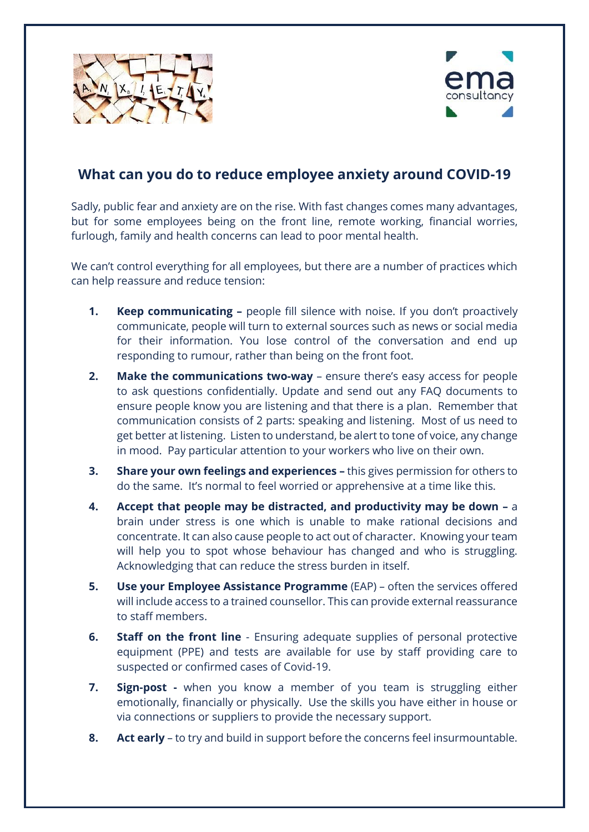



## **What can you do to reduce employee anxiety around COVID-19**

Sadly, public fear and anxiety are on the rise. With fast changes comes many advantages, but for some employees being on the front line, remote working, financial worries, furlough, family and health concerns can lead to poor mental health.

We can't control everything for all employees, but there are a number of practices which can help reassure and reduce tension:

- **1. Keep communicating –** people fill silence with noise. If you don't proactively communicate, people will turn to external sources such as news or social media for their information. You lose control of the conversation and end up responding to rumour, rather than being on the front foot.
- **2. Make the communications two-way** ensure there's easy access for people to ask questions confidentially. Update and send out any FAQ documents to ensure people know you are listening and that there is a plan. Remember that communication consists of 2 parts: speaking and listening. Most of us need to get better at listening. Listen to understand, be alert to tone of voice, any change in mood. Pay particular attention to your workers who live on their own.
- **3. Share your own feelings and experiences –** this gives permission for others to do the same. It's normal to feel worried or apprehensive at a time like this.
- **4. Accept that people may be distracted, and productivity may be down –** a brain under stress is one which is unable to make rational decisions and concentrate. It can also cause people to act out of character. Knowing your team will help you to spot whose behaviour has changed and who is struggling. Acknowledging that can reduce the stress burden in itself.
- **5. Use your Employee Assistance Programme** (EAP) often the services offered will include access to a trained counsellor. This can provide external reassurance to staff members.
- **6. Staff on the front line** Ensuring adequate supplies of personal protective equipment (PPE) and tests are available for use by staff providing care to suspected or confirmed cases of Covid-19.
- **7. Sign-post -** when you know a member of you team is struggling either emotionally, financially or physically. Use the skills you have either in house or via connections or suppliers to provide the necessary support.
- **8. Act early** to try and build in support before the concerns feel insurmountable.